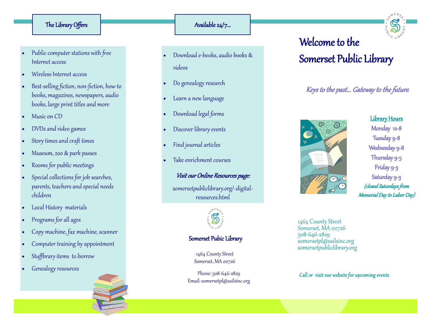#### The Library Offers

- Public computer stations with free Internet access
- Wireless Internet access
- Best-selling fiction, non-fiction, how -to books, magazines, newspapers, audio books, large print titles and more
- Music on CD
- DVDs and video games
- Story times and craft times
- Museum, zoo & park passes
- Rooms for public meetings
- Special collections for job searches, parents, teachers and special needs children
- Local History materials
- Programs for all ages
- Copy machine, fax machine, scanner
- Computer training by appointment
- Stuffbrary items to borrow
- Genealogy resources

# Available 24/7...

- Download e-books, audio books & videos
- Do genealogy research
- Learn a new language
- Download legal forms
- Discover library events
- Find journal articles
- Take enrichment courses

## Visit our Online Resources page:

somersetpubliclibrary.org/ -digital resources.html



## Somerset Pubic Library

1464 County Street Somerset, MA 02726

Phone: 508 -646 -2829 Email: somersetpl@sailsinc.org Welcome to the Somerset Public Library

# Keys to the past... Gateway to the future.



Library Hours Monday 12 - 8 Tuesday 9 - 8 Wednesday 9 - 8 Thursday 9 -5 Friday 9 -3 Saturday 9 -3 (closed Saturdays from Memorial Day to Labor Day)

1464 County Street Somerset, MA 02726 508 -646 -2829 somersetpl@sailsinc.org somersetpubliclibrary.org

Call or visit our website for upcoming events